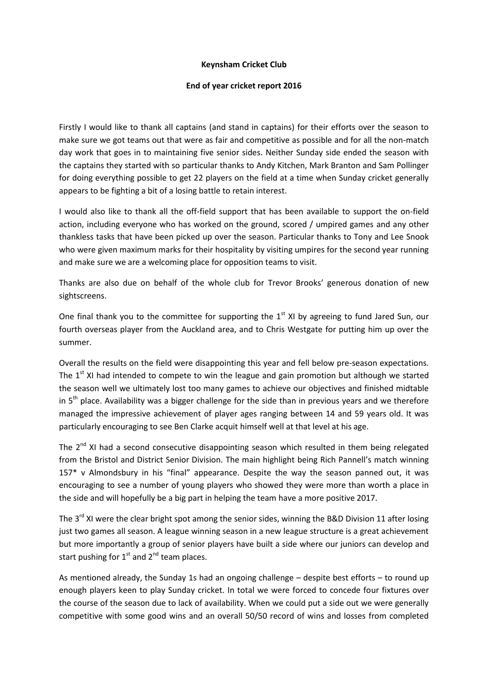## **Keynsham Cricket Club**

## **End of year cricket report 2016**

Firstly I would like to thank all captains (and stand in captains) for their efforts over the season to make sure we got teams out that were as fair and competitive as possible and for all the non-match day work that goes in to maintaining five senior sides. Neither Sunday side ended the season with the captains they started with so particular thanks to Andy Kitchen, Mark Branton and Sam Pollinger for doing everything possible to get 22 players on the field at a time when Sunday cricket generally appears to be fighting a bit of a losing battle to retain interest.

I would also like to thank all the off-field support that has been available to support the on-field action, including everyone who has worked on the ground, scored / umpired games and any other thankless tasks that have been picked up over the season. Particular thanks to Tony and Lee Snook who were given maximum marks for their hospitality by visiting umpires for the second year running and make sure we are a welcoming place for opposition teams to visit.

Thanks are also due on behalf of the whole club for Trevor Brooks' generous donation of new sightscreens.

One final thank you to the committee for supporting the  $1<sup>st</sup>$  XI by agreeing to fund Jared Sun, our fourth overseas player from the Auckland area, and to Chris Westgate for putting him up over the summer.

Overall the results on the field were disappointing this year and fell below pre-season expectations. The  $1<sup>st</sup>$  XI had intended to compete to win the league and gain promotion but although we started the season well we ultimately lost too many games to achieve our objectives and finished midtable in  $5<sup>th</sup>$  place. Availability was a bigger challenge for the side than in previous years and we therefore managed the impressive achievement of player ages ranging between 14 and 59 years old. It was particularly encouraging to see Ben Clarke acquit himself well at that level at his age.

The  $2^{nd}$  XI had a second consecutive disappointing season which resulted in them being relegated from the Bristol and District Senior Division. The main highlight being Rich Pannell's match winning 157\* v Almondsbury in his "final" appearance. Despite the way the season panned out, it was encouraging to see a number of young players who showed they were more than worth a place in the side and will hopefully be a big part in helping the team have a more positive 2017.

The 3<sup>rd</sup> XI were the clear bright spot among the senior sides, winning the B&D Division 11 after losing just two games all season. A league winning season in a new league structure is a great achievement but more importantly a group of senior players have built a side where our juniors can develop and start pushing for  $1<sup>st</sup>$  and  $2<sup>nd</sup>$  team places.

As mentioned already, the Sunday 1s had an ongoing challenge – despite best efforts – to round up enough players keen to play Sunday cricket. In total we were forced to concede four fixtures over the course of the season due to lack of availability. When we could put a side out we were generally competitive with some good wins and an overall 50/50 record of wins and losses from completed